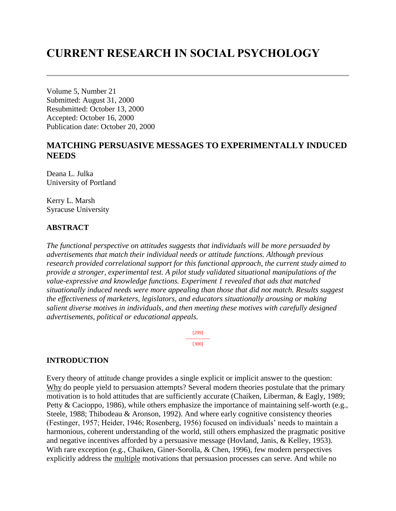# **CURRENT RESEARCH IN SOCIAL PSYCHOLOGY**

Volume 5, Number 21 Submitted: August 31, 2000 Resubmitted: October 13, 2000 Accepted: October 16, 2000 Publication date: October 20, 2000

### **MATCHING PERSUASIVE MESSAGES TO EXPERIMENTALLY INDUCED NEEDS**

Deana L. Julka University of Portland

Kerry L. Marsh Syracuse University

### **ABSTRACT**

*The functional perspective on attitudes suggests that individuals will be more persuaded by advertisements that match their individual needs or attitude functions. Although previous research provided correlational support for this functional approach, the current study aimed to provide a stronger, experimental test. A pilot study validated situational manipulations of the value-expressive and knowledge functions. Experiment 1 revealed that ads that matched situationally induced needs were more appealing than those that did not match. Results suggest the effectiveness of marketers, legislators, and educators situationally arousing or making salient diverse motives in individuals, and then meeting these motives with carefully designed advertisements, political or educational appeals.*

> [299] --------------- [300]

#### **INTRODUCTION**

Every theory of attitude change provides a single explicit or implicit answer to the question: Why do people yield to persuasion attempts? Several modern theories postulate that the primary motivation is to hold attitudes that are sufficiently accurate (Chaiken, Liberman, & Eagly, 1989; Petty & Cacioppo, 1986), while others emphasize the importance of maintaining self-worth (e.g., Steele, 1988; Thibodeau & Aronson, 1992). And where early cognitive consistency theories (Festinger, 1957; Heider, 1946; Rosenberg, 1956) focused on individuals' needs to maintain a harmonious, coherent understanding of the world, still others emphasized the pragmatic positive and negative incentives afforded by a persuasive message (Hovland, Janis, & Kelley, 1953). With rare exception (e.g., Chaiken, Giner-Sorolla, & Chen, 1996), few modern perspectives explicitly address the multiple motivations that persuasion processes can serve. And while no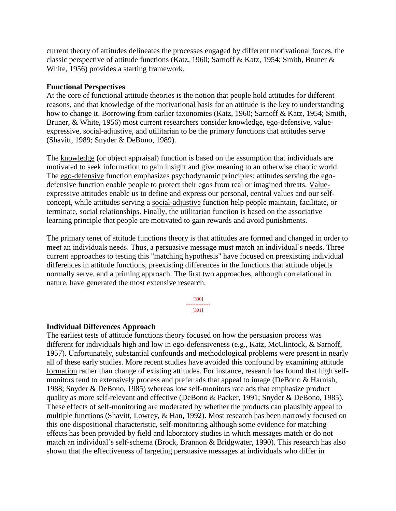current theory of attitudes delineates the processes engaged by different motivational forces, the classic perspective of attitude functions (Katz, 1960; Sarnoff & Katz, 1954; Smith, Bruner & White, 1956) provides a starting framework.

#### **Functional Perspectives**

At the core of functional attitude theories is the notion that people hold attitudes for different reasons, and that knowledge of the motivational basis for an attitude is the key to understanding how to change it. Borrowing from earlier taxonomies (Katz, 1960; Sarnoff & Katz, 1954; Smith, Bruner, & White, 1956) most current researchers consider knowledge, ego-defensive, valueexpressive, social-adjustive, and utilitarian to be the primary functions that attitudes serve (Shavitt, 1989; Snyder & DeBono, 1989).

The knowledge (or object appraisal) function is based on the assumption that individuals are motivated to seek information to gain insight and give meaning to an otherwise chaotic world. The ego-defensive function emphasizes psychodynamic principles; attitudes serving the egodefensive function enable people to protect their egos from real or imagined threats. Valueexpressive attitudes enable us to define and express our personal, central values and our selfconcept, while attitudes serving a social-adjustive function help people maintain, facilitate, or terminate, social relationships. Finally, the utilitarian function is based on the associative learning principle that people are motivated to gain rewards and avoid punishments.

The primary tenet of attitude functions theory is that attitudes are formed and changed in order to meet an individuals needs. Thus, a persuasive message must match an individual's needs. Three current approaches to testing this "matching hypothesis" have focused on preexisting individual differences in attitude functions, preexisting differences in the functions that attitude objects normally serve, and a priming approach. The first two approaches, although correlational in nature, have generated the most extensive research.

> [300] --------------- [301]

### **Individual Differences Approach**

The earliest tests of attitude functions theory focused on how the persuasion process was different for individuals high and low in ego-defensiveness (e.g., Katz, McClintock, & Sarnoff, 1957). Unfortunately, substantial confounds and methodological problems were present in nearly all of these early studies. More recent studies have avoided this confound by examining attitude formation rather than change of existing attitudes. For instance, research has found that high selfmonitors tend to extensively process and prefer ads that appeal to image (DeBono & Harnish, 1988; Snyder & DeBono, 1985) whereas low self-monitors rate ads that emphasize product quality as more self-relevant and effective (DeBono & Packer, 1991; Snyder & DeBono, 1985). These effects of self-monitoring are moderated by whether the products can plausibly appeal to multiple functions (Shavitt, Lowrey, & Han, 1992). Most research has been narrowly focused on this one dispositional characteristic, self-monitoring although some evidence for matching effects has been provided by field and laboratory studies in which messages match or do not match an individual's self-schema (Brock, Brannon & Bridgwater, 1990). This research has also shown that the effectiveness of targeting persuasive messages at individuals who differ in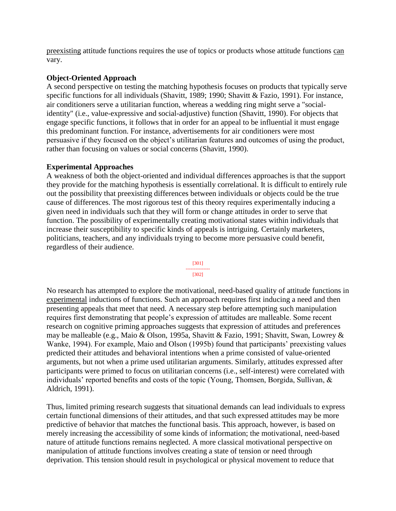preexisting attitude functions requires the use of topics or products whose attitude functions can vary.

### **Object-Oriented Approach**

A second perspective on testing the matching hypothesis focuses on products that typically serve specific functions for all individuals (Shavitt, 1989; 1990; Shavitt & Fazio, 1991). For instance, air conditioners serve a utilitarian function, whereas a wedding ring might serve a "socialidentity" (i.e., value-expressive and social-adjustive) function (Shavitt, 1990). For objects that engage specific functions, it follows that in order for an appeal to be influential it must engage this predominant function. For instance, advertisements for air conditioners were most persuasive if they focused on the object's utilitarian features and outcomes of using the product, rather than focusing on values or social concerns (Shavitt, 1990).

### **Experimental Approaches**

A weakness of both the object-oriented and individual differences approaches is that the support they provide for the matching hypothesis is essentially correlational. It is difficult to entirely rule out the possibility that preexisting differences between individuals or objects could be the true cause of differences. The most rigorous test of this theory requires experimentally inducing a given need in individuals such that they will form or change attitudes in order to serve that function. The possibility of experimentally creating motivational states within individuals that increase their susceptibility to specific kinds of appeals is intriguing. Certainly marketers, politicians, teachers, and any individuals trying to become more persuasive could benefit, regardless of their audience.



No research has attempted to explore the motivational, need-based quality of attitude functions in experimental inductions of functions. Such an approach requires first inducing a need and then presenting appeals that meet that need. A necessary step before attempting such manipulation requires first demonstrating that people's expression of attitudes are malleable. Some recent research on cognitive priming approaches suggests that expression of attitudes and preferences may be malleable (e.g., Maio & Olson, 1995a, Shavitt & Fazio, 1991; Shavitt, Swan, Lowrey & Wanke, 1994). For example, Maio and Olson (1995b) found that participants' preexisting values predicted their attitudes and behavioral intentions when a prime consisted of value-oriented arguments, but not when a prime used utilitarian arguments. Similarly, attitudes expressed after participants were primed to focus on utilitarian concerns (i.e., self-interest) were correlated with individuals' reported benefits and costs of the topic (Young, Thomsen, Borgida, Sullivan, & Aldrich, 1991).

Thus, limited priming research suggests that situational demands can lead individuals to express certain functional dimensions of their attitudes, and that such expressed attitudes may be more predictive of behavior that matches the functional basis. This approach, however, is based on merely increasing the accessibility of some kinds of information; the motivational, need-based nature of attitude functions remains neglected. A more classical motivational perspective on manipulation of attitude functions involves creating a state of tension or need through deprivation. This tension should result in psychological or physical movement to reduce that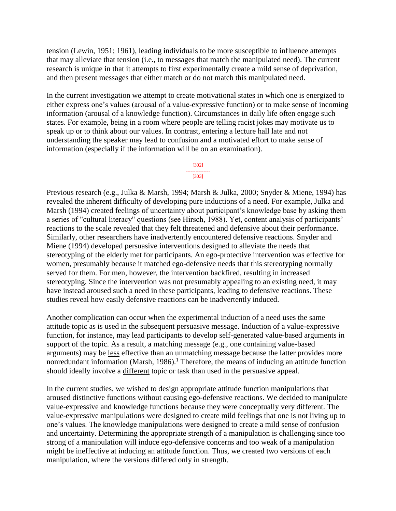tension (Lewin, 1951; 1961), leading individuals to be more susceptible to influence attempts that may alleviate that tension (i.e., to messages that match the manipulated need). The current research is unique in that it attempts to first experimentally create a mild sense of deprivation, and then present messages that either match or do not match this manipulated need.

In the current investigation we attempt to create motivational states in which one is energized to either express one's values (arousal of a value-expressive function) or to make sense of incoming information (arousal of a knowledge function). Circumstances in daily life often engage such states. For example, being in a room where people are telling racist jokes may motivate us to speak up or to think about our values. In contrast, entering a lecture hall late and not understanding the speaker may lead to confusion and a motivated effort to make sense of information (especially if the information will be on an examination).

#### [302] ---------------

## [303]

Previous research (e.g., Julka & Marsh, 1994; Marsh & Julka, 2000; Snyder & Miene, 1994) has revealed the inherent difficulty of developing pure inductions of a need. For example, Julka and Marsh (1994) created feelings of uncertainty about participant's knowledge base by asking them a series of "cultural literacy" questions (see Hirsch, 1988). Yet, content analysis of participants' reactions to the scale revealed that they felt threatened and defensive about their performance. Similarly, other researchers have inadvertently encountered defensive reactions. Snyder and Miene (1994) developed persuasive interventions designed to alleviate the needs that stereotyping of the elderly met for participants. An ego-protective intervention was effective for women, presumably because it matched ego-defensive needs that this stereotyping normally served for them. For men, however, the intervention backfired, resulting in increased stereotyping. Since the intervention was not presumably appealing to an existing need, it may have instead aroused such a need in these participants, leading to defensive reactions. These studies reveal how easily defensive reactions can be inadvertently induced.

Another complication can occur when the experimental induction of a need uses the same attitude topic as is used in the subsequent persuasive message. Induction of a value-expressive function, for instance, may lead participants to develop self-generated value-based arguments in support of the topic. As a result, a matching message (e.g., one containing value-based arguments) may be less effective than an unmatching message because the latter provides more nonredundant information (Marsh, 1986).<sup>1</sup> Therefore, the means of inducing an attitude function should ideally involve a different topic or task than used in the persuasive appeal.

In the current studies, we wished to design appropriate attitude function manipulations that aroused distinctive functions without causing ego-defensive reactions. We decided to manipulate value-expressive and knowledge functions because they were conceptually very different. The value-expressive manipulations were designed to create mild feelings that one is not living up to one's values. The knowledge manipulations were designed to create a mild sense of confusion and uncertainty. Determining the appropriate strength of a manipulation is challenging since too strong of a manipulation will induce ego-defensive concerns and too weak of a manipulation might be ineffective at inducing an attitude function. Thus, we created two versions of each manipulation, where the versions differed only in strength.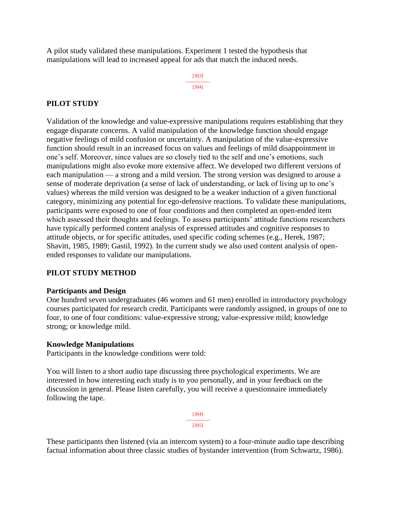A pilot study validated these manipulations. Experiment 1 tested the hypothesis that manipulations will lead to increased appeal for ads that match the induced needs.

> [303] --------------- [304]

### **PILOT STUDY**

Validation of the knowledge and value-expressive manipulations requires establishing that they engage disparate concerns. A valid manipulation of the knowledge function should engage negative feelings of mild confusion or uncertainty. A manipulation of the value-expressive function should result in an increased focus on values and feelings of mild disappointment in one's self. Moreover, since values are so closely tied to the self and one's emotions, such manipulations might also evoke more extensive affect. We developed two different versions of each manipulation — a strong and a mild version. The strong version was designed to arouse a sense of moderate deprivation (a sense of lack of understanding, or lack of living up to one's values) whereas the mild version was designed to be a weaker induction of a given functional category, minimizing any potential for ego-defensive reactions. To validate these manipulations, participants were exposed to one of four conditions and then completed an open-ended item which assessed their thoughts and feelings. To assess participants' attitude functions researchers have typically performed content analysis of expressed attitudes and cognitive responses to attitude objects, or for specific attitudes, used specific coding schemes (e.g., Herek, 1987; Shavitt, 1985, 1989; Gastil, 1992). In the current study we also used content analysis of openended responses to validate our manipulations.

### **PILOT STUDY METHOD**

### **Participants and Design**

One hundred seven undergraduates (46 women and 61 men) enrolled in introductory psychology courses participated for research credit. Participants were randomly assigned, in groups of one to four, to one of four conditions: value-expressive strong; value-expressive mild; knowledge strong; or knowledge mild.

### **Knowledge Manipulations**

Participants in the knowledge conditions were told:

You will listen to a short audio tape discussing three psychological experiments. We are interested in how interesting each study is to you personally, and in your feedback on the discussion in general. Please listen carefully, you will receive a questionnaire immediately following the tape.

> [304] --------------- [305]

These participants then listened (via an intercom system) to a four-minute audio tape describing factual information about three classic studies of bystander intervention (from Schwartz, 1986).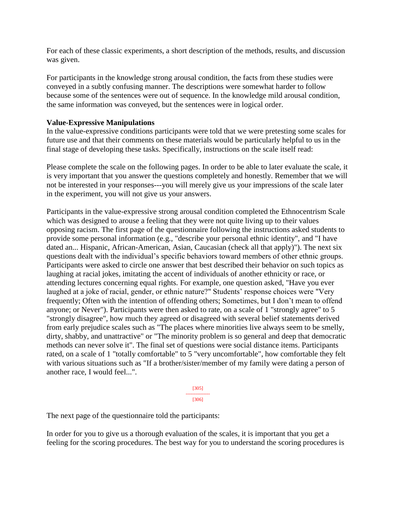For each of these classic experiments, a short description of the methods, results, and discussion was given.

For participants in the knowledge strong arousal condition, the facts from these studies were conveyed in a subtly confusing manner. The descriptions were somewhat harder to follow because some of the sentences were out of sequence. In the knowledge mild arousal condition, the same information was conveyed, but the sentences were in logical order.

### **Value-Expressive Manipulations**

In the value-expressive conditions participants were told that we were pretesting some scales for future use and that their comments on these materials would be particularly helpful to us in the final stage of developing these tasks. Specifically, instructions on the scale itself read:

Please complete the scale on the following pages. In order to be able to later evaluate the scale, it is very important that you answer the questions completely and honestly. Remember that we will not be interested in your responses---you will merely give us your impressions of the scale later in the experiment, you will not give us your answers.

Participants in the value-expressive strong arousal condition completed the Ethnocentrism Scale which was designed to arouse a feeling that they were not quite living up to their values opposing racism. The first page of the questionnaire following the instructions asked students to provide some personal information (e.g., "describe your personal ethnic identity", and "I have dated an... Hispanic, African-American, Asian, Caucasian (check all that apply)"). The next six questions dealt with the individual's specific behaviors toward members of other ethnic groups. Participants were asked to circle one answer that best described their behavior on such topics as laughing at racial jokes, imitating the accent of individuals of another ethnicity or race, or attending lectures concerning equal rights. For example, one question asked, "Have you ever laughed at a joke of racial, gender, or ethnic nature?" Students' response choices were "Very frequently; Often with the intention of offending others; Sometimes, but I don't mean to offend anyone; or Never"). Participants were then asked to rate, on a scale of 1 "strongly agree" to 5 "strongly disagree", how much they agreed or disagreed with several belief statements derived from early prejudice scales such as "The places where minorities live always seem to be smelly, dirty, shabby, and unattractive" or "The minority problem is so general and deep that democratic methods can never solve it". The final set of questions were social distance items. Participants rated, on a scale of 1 "totally comfortable" to 5 "very uncomfortable", how comfortable they felt with various situations such as "If a brother/sister/member of my family were dating a person of another race, I would feel...".

> [305] --------------- [306]

The next page of the questionnaire told the participants:

In order for you to give us a thorough evaluation of the scales, it is important that you get a feeling for the scoring procedures. The best way for you to understand the scoring procedures is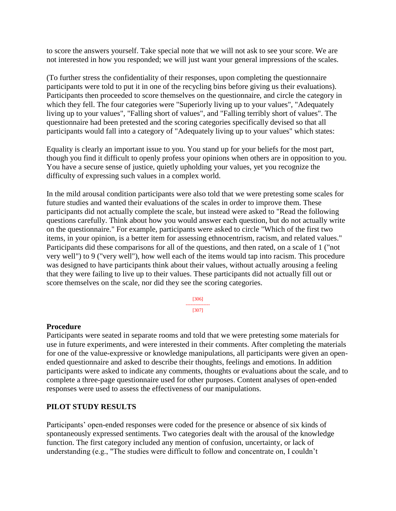to score the answers yourself. Take special note that we will not ask to see your score. We are not interested in how you responded; we will just want your general impressions of the scales.

(To further stress the confidentiality of their responses, upon completing the questionnaire participants were told to put it in one of the recycling bins before giving us their evaluations). Participants then proceeded to score themselves on the questionnaire, and circle the category in which they fell. The four categories were "Superiorly living up to your values", "Adequately living up to your values", "Falling short of values", and "Falling terribly short of values". The questionnaire had been pretested and the scoring categories specifically devised so that all participants would fall into a category of "Adequately living up to your values" which states:

Equality is clearly an important issue to you. You stand up for your beliefs for the most part, though you find it difficult to openly profess your opinions when others are in opposition to you. You have a secure sense of justice, quietly upholding your values, yet you recognize the difficulty of expressing such values in a complex world.

In the mild arousal condition participants were also told that we were pretesting some scales for future studies and wanted their evaluations of the scales in order to improve them. These participants did not actually complete the scale, but instead were asked to "Read the following questions carefully. Think about how you would answer each question, but do not actually write on the questionnaire." For example, participants were asked to circle "Which of the first two items, in your opinion, is a better item for assessing ethnocentrism, racism, and related values." Participants did these comparisons for all of the questions, and then rated, on a scale of 1 ("not very well") to 9 ("very well"), how well each of the items would tap into racism. This procedure was designed to have participants think about their values, without actually arousing a feeling that they were failing to live up to their values. These participants did not actually fill out or score themselves on the scale, nor did they see the scoring categories.

> [306] --------------- [307]

### **Procedure**

Participants were seated in separate rooms and told that we were pretesting some materials for use in future experiments, and were interested in their comments. After completing the materials for one of the value-expressive or knowledge manipulations, all participants were given an openended questionnaire and asked to describe their thoughts, feelings and emotions. In addition participants were asked to indicate any comments, thoughts or evaluations about the scale, and to complete a three-page questionnaire used for other purposes. Content analyses of open-ended responses were used to assess the effectiveness of our manipulations.

### **PILOT STUDY RESULTS**

Participants' open-ended responses were coded for the presence or absence of six kinds of spontaneously expressed sentiments. Two categories dealt with the arousal of the knowledge function. The first category included any mention of confusion, uncertainty, or lack of understanding (e.g., "The studies were difficult to follow and concentrate on, I couldn't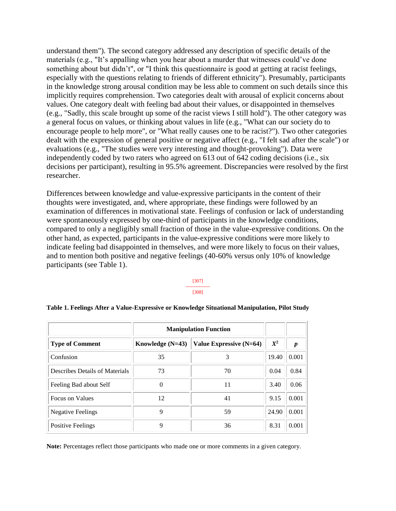understand them"). The second category addressed any description of specific details of the materials (e.g., "It's appalling when you hear about a murder that witnesses could've done something about but didn't", or "I think this questionnaire is good at getting at racist feelings, especially with the questions relating to friends of different ethnicity"). Presumably, participants in the knowledge strong arousal condition may be less able to comment on such details since this implicitly requires comprehension. Two categories dealt with arousal of explicit concerns about values. One category dealt with feeling bad about their values, or disappointed in themselves (e.g., "Sadly, this scale brought up some of the racist views I still hold"). The other category was a general focus on values, or thinking about values in life (e.g., "What can our society do to encourage people to help more", or "What really causes one to be racist?"). Two other categories dealt with the expression of general positive or negative affect (e.g., "I felt sad after the scale") or evaluations (e.g., "The studies were very interesting and thought-provoking"). Data were independently coded by two raters who agreed on 613 out of 642 coding decisions (i.e., six decisions per participant), resulting in 95.5% agreement. Discrepancies were resolved by the first researcher.

Differences between knowledge and value-expressive participants in the content of their thoughts were investigated, and, where appropriate, these findings were followed by an examination of differences in motivational state. Feelings of confusion or lack of understanding were spontaneously expressed by one-third of participants in the knowledge conditions, compared to only a negligibly small fraction of those in the value-expressive conditions. On the other hand, as expected, participants in the value-expressive conditions were more likely to indicate feeling bad disappointed in themselves, and were more likely to focus on their values, and to mention both positive and negative feelings (40-60% versus only 10% of knowledge participants (see Table 1).

> [307] --------------- [308]

|                                | <b>Manipulation Function</b> |                         |       |                  |
|--------------------------------|------------------------------|-------------------------|-------|------------------|
| <b>Type of Comment</b>         | Knowledge $(N=43)$           | Value Expressive (N=64) | $X^2$ | $\boldsymbol{p}$ |
| Confusion                      | 35                           | 3                       | 19.40 | 0.001            |
| Describes Details of Materials | 73                           | 70                      | 0.04  | 0.84             |
| Feeling Bad about Self         | 0                            | 11                      | 3.40  | 0.06             |
| Focus on Values                | 12                           | 41                      | 9.15  | 0.001            |
| <b>Negative Feelings</b>       | 9                            | 59                      | 24.90 | 0.001            |
| <b>Positive Feelings</b>       | 9                            | 36                      | 8.31  | 0.001            |

#### **Table 1. Feelings After a Value-Expressive or Knowledge Situational Manipulation, Pilot Study**

**Note:** Percentages reflect those participants who made one or more comments in a given category.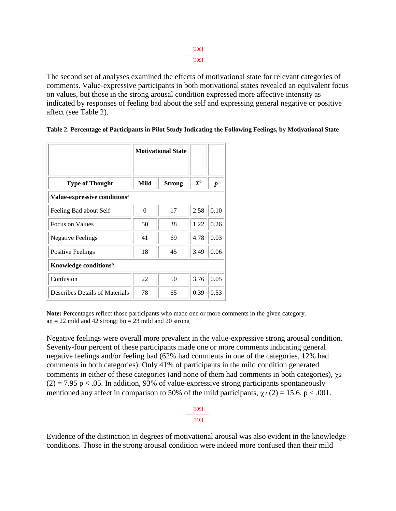| ٠<br>٠ |  |
|--------|--|
|        |  |

The second set of analyses examined the effects of motivational state for relevant categories of comments. Value-expressive participants in both motivational states revealed an equivalent focus on values, but those in the strong arousal condition expressed more affective intensity as indicated by responses of feeling bad about the self and expressing general negative or positive affect (see Table 2).

|                                          |          | <b>Motivational State</b> |       |                  |  |  |
|------------------------------------------|----------|---------------------------|-------|------------------|--|--|
| <b>Type of Thought</b>                   | Mild     | <b>Strong</b>             | $X^2$ | $\boldsymbol{p}$ |  |  |
| Value-expressive conditions <sup>a</sup> |          |                           |       |                  |  |  |
| Feeling Bad about Self                   | $\theta$ | 17                        | 2.58  | 0.10             |  |  |
| <b>Focus on Values</b>                   | 50       | 38                        | 1.22  | 0.26             |  |  |
| <b>Negative Feelings</b>                 | 41       | 69                        | 4.78  | 0.03             |  |  |
| <b>Positive Feelings</b>                 | 18       | 45                        | 3.49  | 0.06             |  |  |
| Knowledge conditions <sup>b</sup>        |          |                           |       |                  |  |  |
| Confusion                                | 22       | 50                        | 3.76  | 0.05             |  |  |
| Describes Details of Materials           | 78       | 65                        | 0.39  | 0.53             |  |  |

|  |  | Table 2. Percentage of Participants in Pilot Study Indicating the Following Feelings, by Motivational State |
|--|--|-------------------------------------------------------------------------------------------------------------|
|  |  |                                                                                                             |

**Note:** Percentages reflect those participants who made one or more comments in the given category.  $a_n = 22$  mild and 42 strong;  $b_n = 23$  mild and 20 strong

Negative feelings were overall more prevalent in the value-expressive strong arousal condition. Seventy-four percent of these participants made one or more comments indicating general negative feelings and/or feeling bad (62% had comments in one of the categories, 12% had comments in both categories). Only 41% of participants in the mild condition generated comments in either of these categories (and none of them had comments in both categories),  $\gamma_2$  $(2) = 7.95$  p < .05. In addition, 93% of value-expressive strong participants spontaneously mentioned any affect in comparison to 50% of the mild participants,  $\chi_2$  (2) = 15.6, p < .001.

> [309] --------------- [310]

Evidence of the distinction in degrees of motivational arousal was also evident in the knowledge conditions. Those in the strong arousal condition were indeed more confused than their mild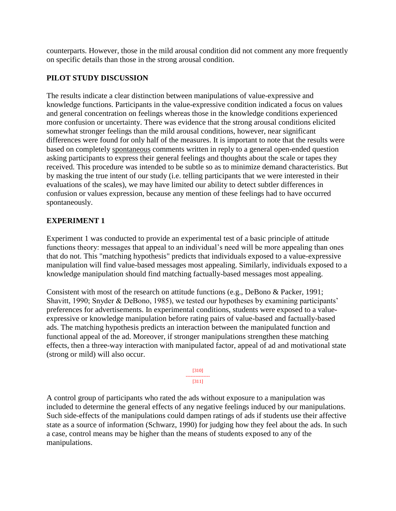counterparts. However, those in the mild arousal condition did not comment any more frequently on specific details than those in the strong arousal condition.

### **PILOT STUDY DISCUSSION**

The results indicate a clear distinction between manipulations of value-expressive and knowledge functions. Participants in the value-expressive condition indicated a focus on values and general concentration on feelings whereas those in the knowledge conditions experienced more confusion or uncertainty. There was evidence that the strong arousal conditions elicited somewhat stronger feelings than the mild arousal conditions, however, near significant differences were found for only half of the measures. It is important to note that the results were based on completely spontaneous comments written in reply to a general open-ended question asking participants to express their general feelings and thoughts about the scale or tapes they received. This procedure was intended to be subtle so as to minimize demand characteristics. But by masking the true intent of our study (i.e. telling participants that we were interested in their evaluations of the scales), we may have limited our ability to detect subtler differences in confusion or values expression, because any mention of these feelings had to have occurred spontaneously.

### **EXPERIMENT 1**

Experiment 1 was conducted to provide an experimental test of a basic principle of attitude functions theory: messages that appeal to an individual's need will be more appealing than ones that do not. This "matching hypothesis" predicts that individuals exposed to a value-expressive manipulation will find value-based messages most appealing. Similarly, individuals exposed to a knowledge manipulation should find matching factually-based messages most appealing.

Consistent with most of the research on attitude functions (e.g., DeBono & Packer, 1991; Shavitt, 1990; Snyder & DeBono, 1985), we tested our hypotheses by examining participants' preferences for advertisements. In experimental conditions, students were exposed to a valueexpressive or knowledge manipulation before rating pairs of value-based and factually-based ads. The matching hypothesis predicts an interaction between the manipulated function and functional appeal of the ad. Moreover, if stronger manipulations strengthen these matching effects, then a three-way interaction with manipulated factor, appeal of ad and motivational state (strong or mild) will also occur.

> [310] --------------- [311]

A control group of participants who rated the ads without exposure to a manipulation was included to determine the general effects of any negative feelings induced by our manipulations. Such side-effects of the manipulations could dampen ratings of ads if students use their affective state as a source of information (Schwarz, 1990) for judging how they feel about the ads. In such a case, control means may be higher than the means of students exposed to any of the manipulations.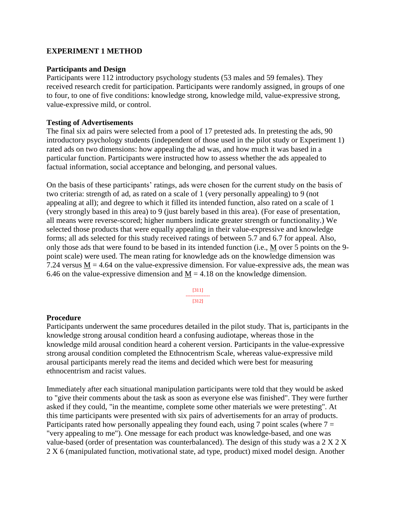### **EXPERIMENT 1 METHOD**

#### **Participants and Design**

Participants were 112 introductory psychology students (53 males and 59 females). They received research credit for participation. Participants were randomly assigned, in groups of one to four, to one of five conditions: knowledge strong, knowledge mild, value-expressive strong, value-expressive mild, or control.

#### **Testing of Advertisements**

The final six ad pairs were selected from a pool of 17 pretested ads. In pretesting the ads, 90 introductory psychology students (independent of those used in the pilot study or Experiment 1) rated ads on two dimensions: how appealing the ad was, and how much it was based in a particular function. Participants were instructed how to assess whether the ads appealed to factual information, social acceptance and belonging, and personal values.

On the basis of these participants' ratings, ads were chosen for the current study on the basis of two criteria: strength of ad, as rated on a scale of 1 (very personally appealing) to 9 (not appealing at all); and degree to which it filled its intended function, also rated on a scale of 1 (very strongly based in this area) to 9 (just barely based in this area). (For ease of presentation, all means were reverse-scored; higher numbers indicate greater strength or functionality.) We selected those products that were equally appealing in their value-expressive and knowledge forms; all ads selected for this study received ratings of between 5.7 and 6.7 for appeal. Also, only those ads that were found to be based in its intended function (i.e., M over 5 points on the 9 point scale) were used. The mean rating for knowledge ads on the knowledge dimension was 7.24 versus  $M = 4.64$  on the value-expressive dimension. For value-expressive ads, the mean was 6.46 on the value-expressive dimension and  $M = 4.18$  on the knowledge dimension.

> [311] --------------- [312]

#### **Procedure**

Participants underwent the same procedures detailed in the pilot study. That is, participants in the knowledge strong arousal condition heard a confusing audiotape, whereas those in the knowledge mild arousal condition heard a coherent version. Participants in the value-expressive strong arousal condition completed the Ethnocentrism Scale, whereas value-expressive mild arousal participants merely read the items and decided which were best for measuring ethnocentrism and racist values.

Immediately after each situational manipulation participants were told that they would be asked to "give their comments about the task as soon as everyone else was finished". They were further asked if they could, "in the meantime, complete some other materials we were pretesting". At this time participants were presented with six pairs of advertisements for an array of products. Participants rated how personally appealing they found each, using 7 point scales (where  $7 =$ "very appealing to me"). One message for each product was knowledge-based, and one was value-based (order of presentation was counterbalanced). The design of this study was a 2 X 2 X 2 X 6 (manipulated function, motivational state, ad type, product) mixed model design. Another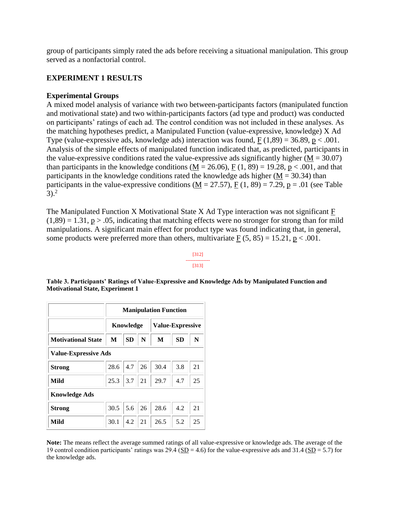group of participants simply rated the ads before receiving a situational manipulation. This group served as a nonfactorial control.

### **EXPERIMENT 1 RESULTS**

### **Experimental Groups**

A mixed model analysis of variance with two between-participants factors (manipulated function and motivational state) and two within-participants factors (ad type and product) was conducted on participants' ratings of each ad. The control condition was not included in these analyses. As the matching hypotheses predict, a Manipulated Function (value-expressive, knowledge) X Ad Type (value-expressive ads, knowledge ads) interaction was found,  $F(1,89) = 36.89$ ,  $p < .001$ . Analysis of the simple effects of manipulated function indicated that, as predicted, participants in the value-expressive conditions rated the value-expressive ads significantly higher  $(M = 30.07)$ than participants in the knowledge conditions ( $M = 26.06$ ),  $F(1, 89) = 19.28$ ,  $p < .001$ , and that participants in the knowledge conditions rated the knowledge ads higher ( $M = 30.34$ ) than participants in the value-expressive conditions  $(M = 27.57)$ ,  $F(1, 89) = 7.29$ ,  $p = .01$  (see Table  $3)$ <sup>2</sup>

The Manipulated Function X Motivational State X Ad Type interaction was not significant F  $(1,89) = 1.31$ , p > .05, indicating that matching effects were no stronger for strong than for mild manipulations. A significant main effect for product type was found indicating that, in general, some products were preferred more than others, multivariate  $F(5, 85) = 15.21$ ,  $p < .001$ .

#### [312] --------------- [313]

|                             | <b>Manipulation Function</b> |           |    |                         |           |    |  |
|-----------------------------|------------------------------|-----------|----|-------------------------|-----------|----|--|
|                             | Knowledge                    |           |    | <b>Value-Expressive</b> |           |    |  |
| <b>Motivational State</b>   | М                            | <b>SD</b> | N  | M                       | <b>SD</b> | N  |  |
| <b>Value-Expressive Ads</b> |                              |           |    |                         |           |    |  |
| <b>Strong</b>               | 28.6                         | 4.7       | 26 | 30.4                    | 3.8       | 21 |  |
| Mild                        | 25.3                         | 3.7       | 21 | 29.7                    | 4.7       | 25 |  |
| <b>Knowledge Ads</b>        |                              |           |    |                         |           |    |  |
| <b>Strong</b>               | 30.5                         | 5.6       | 26 | 28.6                    | 4.2       | 21 |  |
| Mild                        | 30.1                         | 4.2       | 21 | 26.5                    | 5.2       | 25 |  |

**Table 3. Participants' Ratings of Value-Expressive and Knowledge Ads by Manipulated Function and Motivational State, Experiment 1**

**Note:** The means reflect the average summed ratings of all value-expressive or knowledge ads. The average of the 19 control condition participants' ratings was  $29.4$  ( $\underline{SD} = 4.6$ ) for the value-expressive ads and 31.4 ( $SD = 5.7$ ) for the knowledge ads.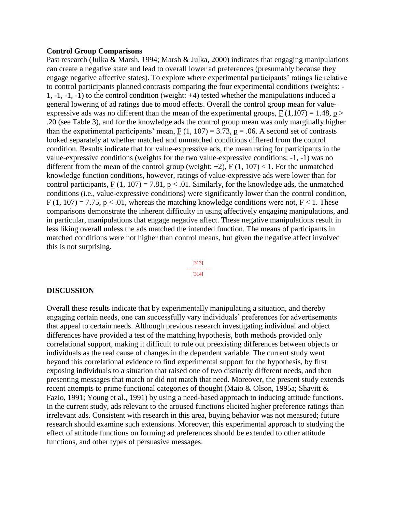#### **Control Group Comparisons**

Past research (Julka & Marsh, 1994; Marsh & Julka, 2000) indicates that engaging manipulations can create a negative state and lead to overall lower ad preferences (presumably because they engage negative affective states). To explore where experimental participants' ratings lie relative to control participants planned contrasts comparing the four experimental conditions (weights: - 1, -1, -1, -1) to the control condition (weight: +4) tested whether the manipulations induced a general lowering of ad ratings due to mood effects. Overall the control group mean for valueexpressive ads was no different than the mean of the experimental groups,  $F(1,107) = 1.48$ , p > .20 (see Table 3), and for the knowledge ads the control group mean was only marginally higher than the experimental participants' mean,  $F(1, 107) = 3.73$ ,  $p = .06$ . A second set of contrasts looked separately at whether matched and unmatched conditions differed from the control condition. Results indicate that for value-expressive ads, the mean rating for participants in the value-expressive conditions (weights for the two value-expressive conditions: -1, -1) was no different from the mean of the control group (weight:  $+2$ ), F (1, 107) < 1. For the unmatched knowledge function conditions, however, ratings of value-expressive ads were lower than for control participants,  $F(1, 107) = 7.81$ ,  $p < .01$ . Similarly, for the knowledge ads, the unmatched conditions (i.e., value-expressive conditions) were significantly lower than the control condition,  $F(1, 107) = 7.75$ ,  $p < .01$ , whereas the matching knowledge conditions were not,  $F < 1$ . These comparisons demonstrate the inherent difficulty in using affectively engaging manipulations, and in particular, manipulations that engage negative affect. These negative manipulations result in less liking overall unless the ads matched the intended function. The means of participants in matched conditions were not higher than control means, but given the negative affect involved this is not surprising.



#### **DISCUSSION**

Overall these results indicate that by experimentally manipulating a situation, and thereby engaging certain needs, one can successfully vary individuals' preferences for advertisements that appeal to certain needs. Although previous research investigating individual and object differences have provided a test of the matching hypothesis, both methods provided only correlational support, making it difficult to rule out preexisting differences between objects or individuals as the real cause of changes in the dependent variable. The current study went beyond this correlational evidence to find experimental support for the hypothesis, by first exposing individuals to a situation that raised one of two distinctly different needs, and then presenting messages that match or did not match that need. Moreover, the present study extends recent attempts to prime functional categories of thought (Maio & Olson, 1995a; Shavitt & Fazio, 1991; Young et al., 1991) by using a need-based approach to inducing attitude functions. In the current study, ads relevant to the aroused functions elicited higher preference ratings than irrelevant ads. Consistent with research in this area, buying behavior was not measured; future research should examine such extensions. Moreover, this experimental approach to studying the effect of attitude functions on forming ad preferences should be extended to other attitude functions, and other types of persuasive messages.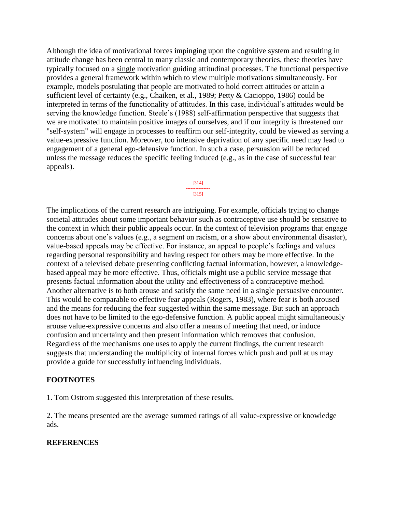Although the idea of motivational forces impinging upon the cognitive system and resulting in attitude change has been central to many classic and contemporary theories, these theories have typically focused on a single motivation guiding attitudinal processes. The functional perspective provides a general framework within which to view multiple motivations simultaneously. For example, models postulating that people are motivated to hold correct attitudes or attain a sufficient level of certainty (e.g., Chaiken, et al., 1989; Petty & Cacioppo, 1986) could be interpreted in terms of the functionality of attitudes. In this case, individual's attitudes would be serving the knowledge function. Steele's (1988) self-affirmation perspective that suggests that we are motivated to maintain positive images of ourselves, and if our integrity is threatened our "self-system" will engage in processes to reaffirm our self-integrity, could be viewed as serving a value-expressive function. Moreover, too intensive deprivation of any specific need may lead to engagement of a general ego-defensive function. In such a case, persuasion will be reduced unless the message reduces the specific feeling induced (e.g., as in the case of successful fear appeals).

> [314] --------------- [315]

The implications of the current research are intriguing. For example, officials trying to change societal attitudes about some important behavior such as contraceptive use should be sensitive to the context in which their public appeals occur. In the context of television programs that engage concerns about one's values (e.g., a segment on racism, or a show about environmental disaster), value-based appeals may be effective. For instance, an appeal to people's feelings and values regarding personal responsibility and having respect for others may be more effective. In the context of a televised debate presenting conflicting factual information, however, a knowledgebased appeal may be more effective. Thus, officials might use a public service message that presents factual information about the utility and effectiveness of a contraceptive method. Another alternative is to both arouse and satisfy the same need in a single persuasive encounter. This would be comparable to effective fear appeals (Rogers, 1983), where fear is both aroused and the means for reducing the fear suggested within the same message. But such an approach does not have to be limited to the ego-defensive function. A public appeal might simultaneously arouse value-expressive concerns and also offer a means of meeting that need, or induce confusion and uncertainty and then present information which removes that confusion. Regardless of the mechanisms one uses to apply the current findings, the current research suggests that understanding the multiplicity of internal forces which push and pull at us may provide a guide for successfully influencing individuals.

### **FOOTNOTES**

1. Tom Ostrom suggested this interpretation of these results.

2. The means presented are the average summed ratings of all value-expressive or knowledge ads.

#### **REFERENCES**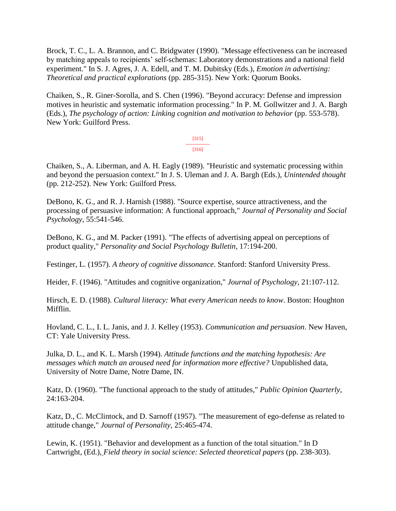Brock, T. C., L. A. Brannon, and C. Bridgwater (1990). "Message effectiveness can be increased by matching appeals to recipients' self-schemas: Laboratory demonstrations and a national field experiment." In S. J. Agres, J. A. Edell, and T. M. Dubitsky (Eds.), *Emotion in advertising: Theoretical and practical explorations* (pp. 285-315). New York: Quorum Books.

Chaiken, S., R. Giner-Sorolla, and S. Chen (1996). "Beyond accuracy: Defense and impression motives in heuristic and systematic information processing." In P. M. Gollwitzer and J. A. Bargh (Eds.), *The psychology of action: Linking cognition and motivation to behavior* (pp. 553-578). New York: Guilford Press.

> [315] --------------- [316]

Chaiken, S., A. Liberman, and A. H. Eagly (1989). "Heuristic and systematic processing within and beyond the persuasion context." In J. S. Uleman and J. A. Bargh (Eds.), *Unintended thought* (pp. 212-252). New York: Guilford Press.

DeBono, K. G., and R. J. Harnish (1988). "Source expertise, source attractiveness, and the processing of persuasive information: A functional approach," *Journal of Personality and Social Psychology,* 55:541-546.

DeBono, K. G., and M. Packer (1991). "The effects of advertising appeal on perceptions of product quality," *Personality and Social Psychology Bulletin,* 17:194-200.

Festinger, L. (1957). *A theory of cognitive dissonance*. Stanford: Stanford University Press.

Heider, F. (1946). "Attitudes and cognitive organization," *Journal of Psychology,* 21:107-112.

Hirsch, E. D. (1988). *Cultural literacy: What every American needs to know*. Boston: Houghton Mifflin.

Hovland, C. L., I. L. Janis, and J. J. Kelley (1953). *Communication and persuasion*. New Haven, CT: Yale University Press.

Julka, D. L., and K. L. Marsh (1994). *Attitude functions and the matching hypothesis: Are messages which match an aroused need for information more effective?* Unpublished data, University of Notre Dame, Notre Dame, IN.

Katz, D. (1960). "The functional approach to the study of attitudes," *Public Opinion Quarterly,*  24:163-204.

Katz, D., C. McClintock, and D. Sarnoff (1957). "The measurement of ego-defense as related to attitude change," *Journal of Personality,* 25:465-474.

Lewin, K. (1951). "Behavior and development as a function of the total situation." In D Cartwright, (Ed.), *Field theory in social science: Selected theoretical papers* (pp. 238-303).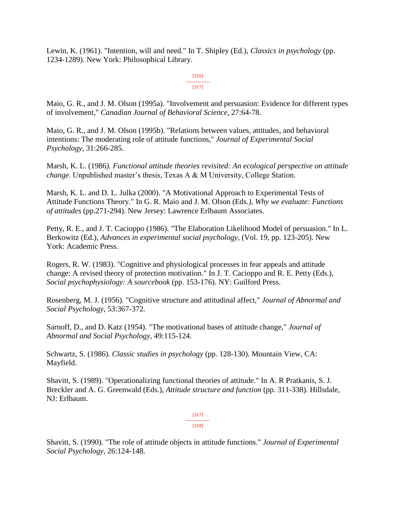Lewin, K. (1961). "Intention, will and need." In T. Shipley (Ed.), *Classics in psychology* (pp. 1234-1289). New York: Philosophical Library.

> [316] --------------- [317]

Maio, G. R., and J. M. Olson (1995a). "Involvement and persuasion: Evidence for different types of involvement," *Canadian Journal of Behavioral Science,* 27:64-78.

Maio, G. R., and J. M. Olson (1995b). "Relations between values, attitudes, and behavioral intentions: The moderating role of attitude functions," *Journal of Experimental Social Psychology,* 31:266-285.

Marsh, K. L. (1986*). Functional attitude theories revisited: An ecological perspective on attitude change*. Unpublished master's thesis, Texas A & M University, College Station.

Marsh, K. L. and D. L. Julka (2000). "A Motivational Approach to Experimental Tests of Attitude Functions Theory." In G. R. Maio and J. M. Olson (Eds*.), Why we evaluate: Functions of attitudes* (pp.271-294). New Jersey: Lawrence Erlbaum Associates.

Petty, R. E., and J. T. Cacioppo (1986). "The Elaboration Likelihood Model of persuasion." In L. Berkowitz (Ed.), *Advances in experimental social psychology*, (Vol. 19, pp. 123-205). New York: Academic Press.

Rogers, R. W. (1983). "Cognitive and physiological processes in fear appeals and attitude change: A revised theory of protection motivation." In J. T. Cacioppo and R. E. Petty (Eds.), *Social psychophysiology: A sourcebook* (pp. 153-176). NY: Guilford Press.

Rosenberg, M. J. (1956). "Cognitive structure and attitudinal affect," *Journal of Abnormal and Social Psychology,* 53:367-372.

Sarnoff, D., and D. Katz (1954). "The motivational bases of attitude change," *Journal of Abnormal and Social Psychology,* 49:115-124.

Schwartz, S. (1986). *Classic studies in psychology* (pp. 128-130). Mountain View, CA: Mayfield.

Shavitt, S. (1989). "Operationalizing functional theories of attitude." In A. R Pratkanis, S. J. Breckler and A. G. Greenwald (Eds.), *Attitude structure and function* (pp. 311-338). Hillsdale, NJ: Erlbaum.

> [317] --------------- [318]

Shavitt, S. (1990). "The role of attitude objects in attitude functions." *Journal of Experimental Social Psychology,* 26:124-148.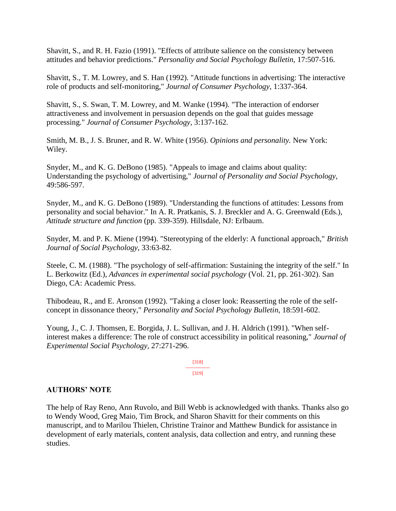Shavitt, S., and R. H. Fazio (1991). "Effects of attribute salience on the consistency between attitudes and behavior predictions." *Personality and Social Psychology Bulletin,* 17:507-516.

Shavitt, S., T. M. Lowrey, and S. Han (1992). "Attitude functions in advertising: The interactive role of products and self-monitoring," *Journal of Consumer Psychology,* 1:337-364.

Shavitt, S., S. Swan, T. M. Lowrey, and M. Wanke (1994). "The interaction of endorser attractiveness and involvement in persuasion depends on the goal that guides message processing." *Journal of Consumer Psychology,* 3:137-162.

Smith, M. B., J. S. Bruner, and R. W. White (1956). *Opinions and personality.* New York: Wiley.

Snyder, M., and K. G. DeBono (1985). "Appeals to image and claims about quality: Understanding the psychology of advertising," *Journal of Personality and Social Psychology,*  49:586-597.

Snyder, M., and K. G. DeBono (1989). "Understanding the functions of attitudes: Lessons from personality and social behavior." In A. R. Pratkanis, S. J. Breckler and A. G. Greenwald (Eds.), *Attitude structure and function* (pp. 339-359). Hillsdale, NJ: Erlbaum.

Snyder, M. and P. K. Miene (1994). "Stereotyping of the elderly: A functional approach," *British Journal of Social Psychology,* 33:63-82.

Steele, C. M. (1988). "The psychology of self-affirmation: Sustaining the integrity of the self." In L. Berkowitz (Ed.), *Advances in experimental social psychology* (Vol. 21, pp. 261-302). San Diego, CA: Academic Press.

Thibodeau, R., and E. Aronson (1992). "Taking a closer look: Reasserting the role of the selfconcept in dissonance theory," *Personality and Social Psychology Bulletin,* 18:591-602.

Young, J., C. J. Thomsen, E. Borgida, J. L. Sullivan, and J. H. Aldrich (1991). "When selfinterest makes a difference: The role of construct accessibility in political reasoning," *Journal of Experimental Social Psychology,* 27:271-296.

> [318] --------------- [319]

### **AUTHORS' NOTE**

The help of Ray Reno, Ann Ruvolo, and Bill Webb is acknowledged with thanks. Thanks also go to Wendy Wood, Greg Maio, Tim Brock, and Sharon Shavitt for their comments on this manuscript, and to Marilou Thielen, Christine Trainor and Matthew Bundick for assistance in development of early materials, content analysis, data collection and entry, and running these studies.